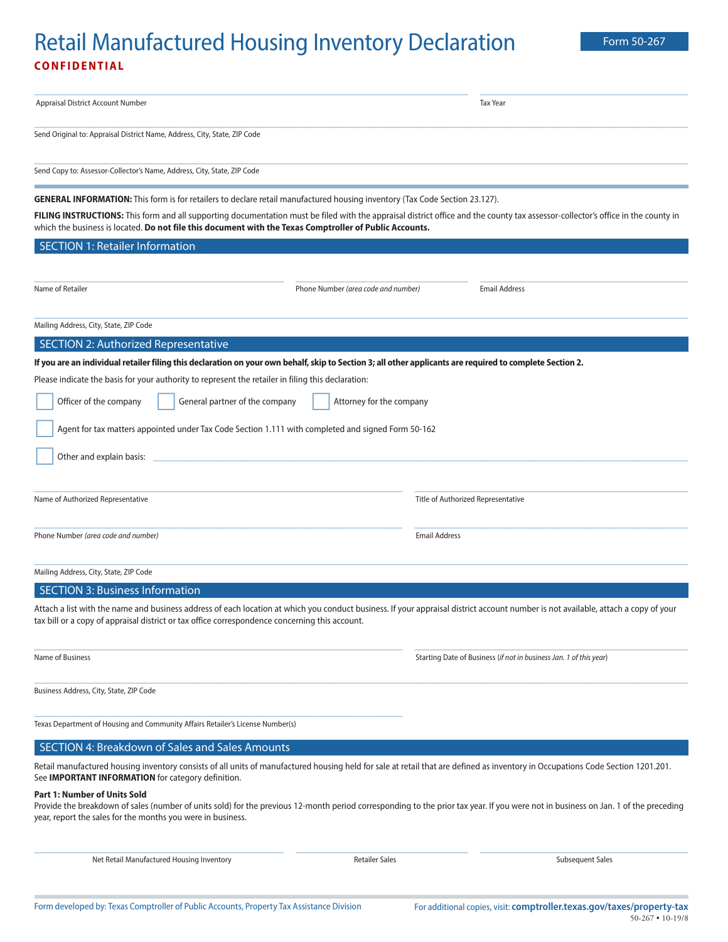## Retail Manufactured Housing Inventory Declaration Form 50-267 **CONFIDENTIAL**

| Appraisal District Account Number                                                                                                                                                                                                                                                        |                                     |                                    | <b>Tax Year</b>                                                    |  |
|------------------------------------------------------------------------------------------------------------------------------------------------------------------------------------------------------------------------------------------------------------------------------------------|-------------------------------------|------------------------------------|--------------------------------------------------------------------|--|
| Send Original to: Appraisal District Name, Address, City, State, ZIP Code                                                                                                                                                                                                                |                                     |                                    |                                                                    |  |
| Send Copy to: Assessor-Collector's Name, Address, City, State, ZIP Code                                                                                                                                                                                                                  |                                     |                                    |                                                                    |  |
| <b>GENERAL INFORMATION:</b> This form is for retailers to declare retail manufactured housing inventory (Tax Code Section 23.127).                                                                                                                                                       |                                     |                                    |                                                                    |  |
| FILING INSTRUCTIONS: This form and all supporting documentation must be filed with the appraisal district office and the county tax assessor-collector's office in the county in                                                                                                         |                                     |                                    |                                                                    |  |
| which the business is located. Do not file this document with the Texas Comptroller of Public Accounts.                                                                                                                                                                                  |                                     |                                    |                                                                    |  |
| <b>SECTION 1: Retailer Information</b>                                                                                                                                                                                                                                                   |                                     |                                    |                                                                    |  |
|                                                                                                                                                                                                                                                                                          |                                     |                                    |                                                                    |  |
| Name of Retailer                                                                                                                                                                                                                                                                         | Phone Number (area code and number) |                                    | <b>Email Address</b>                                               |  |
| Mailing Address, City, State, ZIP Code                                                                                                                                                                                                                                                   |                                     |                                    |                                                                    |  |
| <b>SECTION 2: Authorized Representative</b>                                                                                                                                                                                                                                              |                                     |                                    |                                                                    |  |
| If you are an individual retailer filing this declaration on your own behalf, skip to Section 3; all other applicants are required to complete Section 2.                                                                                                                                |                                     |                                    |                                                                    |  |
| Please indicate the basis for your authority to represent the retailer in filing this declaration:                                                                                                                                                                                       |                                     |                                    |                                                                    |  |
| Officer of the company<br>General partner of the company<br>Attorney for the company                                                                                                                                                                                                     |                                     |                                    |                                                                    |  |
| Agent for tax matters appointed under Tax Code Section 1.111 with completed and signed Form 50-162                                                                                                                                                                                       |                                     |                                    |                                                                    |  |
| Other and explain basis:                                                                                                                                                                                                                                                                 |                                     |                                    |                                                                    |  |
|                                                                                                                                                                                                                                                                                          |                                     |                                    |                                                                    |  |
| Name of Authorized Representative                                                                                                                                                                                                                                                        |                                     | Title of Authorized Representative |                                                                    |  |
| Phone Number (area code and number)                                                                                                                                                                                                                                                      |                                     | <b>Email Address</b>               |                                                                    |  |
|                                                                                                                                                                                                                                                                                          |                                     |                                    |                                                                    |  |
| Mailing Address, City, State, ZIP Code                                                                                                                                                                                                                                                   |                                     |                                    |                                                                    |  |
| <b>SECTION 3: Business Information</b>                                                                                                                                                                                                                                                   |                                     |                                    |                                                                    |  |
| Attach a list with the name and business address of each location at which you conduct business. If your appraisal district account number is not available, attach a copy of your<br>tax bill or a copy of appraisal district or tax office correspondence concerning this account.     |                                     |                                    |                                                                    |  |
| Name of Business                                                                                                                                                                                                                                                                         |                                     |                                    | Starting Date of Business (if not in business Jan. 1 of this year) |  |
| Business Address, City, State, ZIP Code                                                                                                                                                                                                                                                  |                                     |                                    |                                                                    |  |
| Texas Department of Housing and Community Affairs Retailer's License Number(s)                                                                                                                                                                                                           |                                     |                                    |                                                                    |  |
| SECTION 4: Breakdown of Sales and Sales Amounts                                                                                                                                                                                                                                          |                                     |                                    |                                                                    |  |
| Retail manufactured housing inventory consists of all units of manufactured housing held for sale at retail that are defined as inventory in Occupations Code Section 1201.201.<br>See IMPORTANT INFORMATION for category definition.                                                    |                                     |                                    |                                                                    |  |
| <b>Part 1: Number of Units Sold</b><br>Provide the breakdown of sales (number of units sold) for the previous 12-month period corresponding to the prior tax year. If you were not in business on Jan. 1 of the preceding<br>year, report the sales for the months you were in business. |                                     |                                    |                                                                    |  |

Net Retail Manufactured Housing Inventory **Retailer Sales** Retailer Sales **Retailer Sales** Subsequent Sales

\_\_\_\_\_\_\_\_\_\_\_\_\_\_\_\_\_\_\_\_\_\_\_\_\_\_\_\_\_\_\_\_\_\_\_\_\_\_\_\_\_\_ \_\_\_\_\_\_\_\_\_\_\_\_\_\_\_\_\_\_\_\_\_\_\_\_\_\_\_\_\_ \_\_\_\_\_\_\_\_\_\_\_\_\_\_\_\_\_\_\_\_\_\_\_\_\_\_\_\_\_\_\_\_\_\_\_